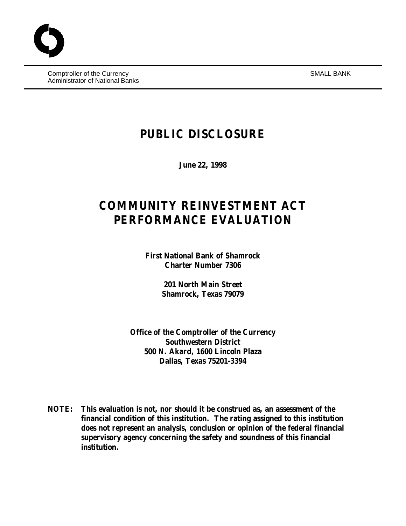Comptroller of the Currency SMALL BANK Administrator of National Banks

# **PUBLIC DISCLOSURE**

**June 22, 1998**

# **COMMUNITY REINVESTMENT ACT PERFORMANCE EVALUATION**

**First National Bank of Shamrock Charter Number 7306**

> **201 North Main Street Shamrock, Texas 79079**

**Office of the Comptroller of the Currency Southwestern District 500 N. Akard, 1600 Lincoln Plaza Dallas, Texas 75201-3394**

**NOTE: This evaluation is not, nor should it be construed as, an assessment of the financial condition of this institution. The rating assigned to this institution does not represent an analysis, conclusion or opinion of the federal financial supervisory agency concerning the safety and soundness of this financial institution.**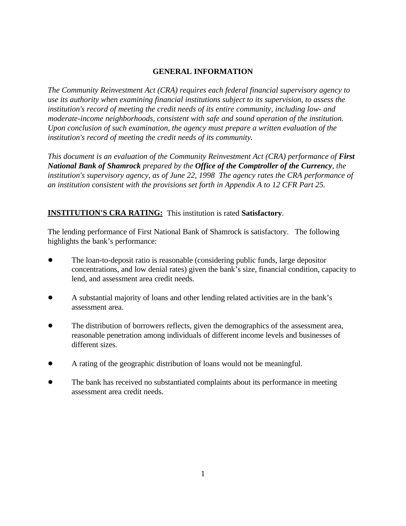# **GENERAL INFORMATION**

*The Community Reinvestment Act (CRA) requires each federal financial supervisory agency to use its authority when examining financial institutions subject to its supervision, to assess the institution's record of meeting the credit needs of its entire community, including low- and moderate-income neighborhoods, consistent with safe and sound operation of the institution. Upon conclusion of such examination, the agency must prepare a written evaluation of the institution's record of meeting the credit needs of its community.* 

*This document is an evaluation of the Community Reinvestment Act (CRA) performance of First National Bank of Shamrock prepared by the Office of the Comptroller of the Currency, the institution's supervisory agency, as of June 22, 1998 The agency rates the CRA performance of an institution consistent with the provisions set forth in Appendix A to 12 CFR Part 25.*

# **INSTITUTION'S CRA RATING:** This institution is rated **Satisfactory**.

The lending performance of First National Bank of Shamrock is satisfactory. The following highlights the bank's performance:

- ! The loan-to-deposit ratio is reasonable (considering public funds, large depositor concentrations, and low denial rates) given the bank's size, financial condition, capacity to lend, and assessment area credit needs.
- ! A substantial majority of loans and other lending related activities are in the bank's assessment area.
- ! The distribution of borrowers reflects, given the demographics of the assessment area, reasonable penetration among individuals of different income levels and businesses of different sizes.
- ! A rating of the geographic distribution of loans would not be meaningful.
- ! The bank has received no substantiated complaints about its performance in meeting assessment area credit needs.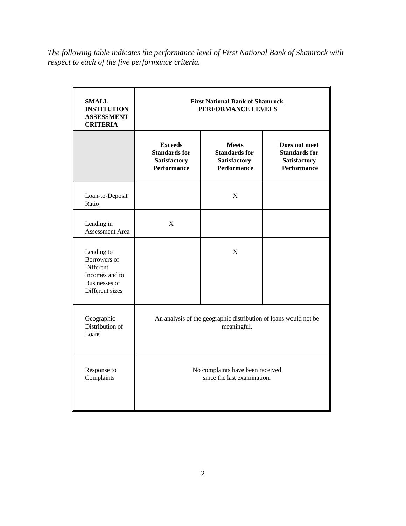*The following table indicates the performance level of First National Bank of Shamrock with respect to each of the five performance criteria.*

| <b>SMALL</b><br><b>INSTITUTION</b><br><b>ASSESSMENT</b><br><b>CRITERIA</b>                           | <b>First National Bank of Shamrock</b><br>PERFORMANCE LEVELS                        |                                                                                   |                                                                                    |  |
|------------------------------------------------------------------------------------------------------|-------------------------------------------------------------------------------------|-----------------------------------------------------------------------------------|------------------------------------------------------------------------------------|--|
|                                                                                                      | <b>Exceeds</b><br><b>Standards for</b><br><b>Satisfactory</b><br><b>Performance</b> | <b>Meets</b><br><b>Standards for</b><br><b>Satisfactory</b><br><b>Performance</b> | Does not meet<br><b>Standards for</b><br><b>Satisfactory</b><br><b>Performance</b> |  |
| Loan-to-Deposit<br>Ratio                                                                             |                                                                                     | $\mathbf X$                                                                       |                                                                                    |  |
| Lending in<br>Assessment Area                                                                        | X                                                                                   |                                                                                   |                                                                                    |  |
| Lending to<br>Borrowers of<br>Different<br>Incomes and to<br><b>Businesses of</b><br>Different sizes |                                                                                     | $\mathbf X$                                                                       |                                                                                    |  |
| Geographic<br>Distribution of<br>Loans                                                               | An analysis of the geographic distribution of loans would not be<br>meaningful.     |                                                                                   |                                                                                    |  |
| Response to<br>Complaints                                                                            | No complaints have been received<br>since the last examination.                     |                                                                                   |                                                                                    |  |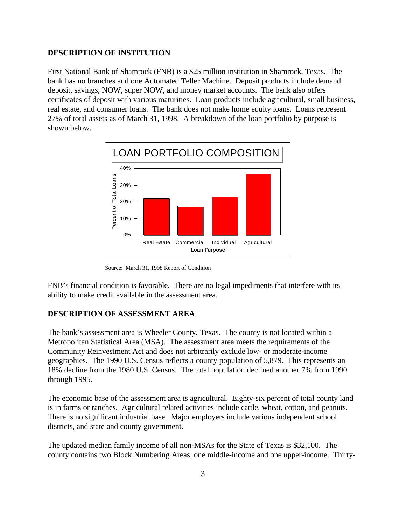#### **DESCRIPTION OF INSTITUTION**

First National Bank of Shamrock (FNB) is a \$25 million institution in Shamrock, Texas. The bank has no branches and one Automated Teller Machine. Deposit products include demand deposit, savings, NOW, super NOW, and money market accounts. The bank also offers certificates of deposit with various maturities. Loan products include agricultural, small business, real estate, and consumer loans. The bank does not make home equity loans. Loans represent 27% of total assets as of March 31, 1998. A breakdown of the loan portfolio by purpose is shown below.



Source: March 31, 1998 Report of Condition

FNB's financial condition is favorable. There are no legal impediments that interfere with its ability to make credit available in the assessment area.

#### **DESCRIPTION OF ASSESSMENT AREA**

The bank's assessment area is Wheeler County, Texas. The county is not located within a Metropolitan Statistical Area (MSA). The assessment area meets the requirements of the Community Reinvestment Act and does not arbitrarily exclude low- or moderate-income geographies. The 1990 U.S. Census reflects a county population of 5,879. This represents an 18% decline from the 1980 U.S. Census. The total population declined another 7% from 1990 through 1995.

The economic base of the assessment area is agricultural. Eighty-six percent of total county land is in farms or ranches. Agricultural related activities include cattle, wheat, cotton, and peanuts. There is no significant industrial base. Major employers include various independent school districts, and state and county government.

The updated median family income of all non-MSAs for the State of Texas is \$32,100. The county contains two Block Numbering Areas, one middle-income and one upper-income. Thirty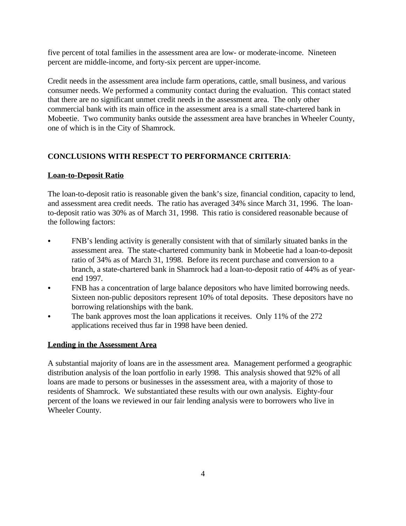five percent of total families in the assessment area are low- or moderate-income. Nineteen percent are middle-income, and forty-six percent are upper-income.

Credit needs in the assessment area include farm operations, cattle, small business, and various consumer needs. We performed a community contact during the evaluation. This contact stated that there are no significant unmet credit needs in the assessment area. The only other commercial bank with its main office in the assessment area is a small state-chartered bank in Mobeetie. Two community banks outside the assessment area have branches in Wheeler County, one of which is in the City of Shamrock.

## **CONCLUSIONS WITH RESPECT TO PERFORMANCE CRITERIA**:

### **Loan-to-Deposit Ratio**

The loan-to-deposit ratio is reasonable given the bank's size, financial condition, capacity to lend, and assessment area credit needs. The ratio has averaged 34% since March 31, 1996. The loanto-deposit ratio was 30% as of March 31, 1998. This ratio is considered reasonable because of the following factors:

- FNB's lending activity is generally consistent with that of similarly situated banks in the assessment area. The state-chartered community bank in Mobeetie had a loan-to-deposit ratio of 34% as of March 31, 1998. Before its recent purchase and conversion to a branch, a state-chartered bank in Shamrock had a loan-to-deposit ratio of 44% as of yearend 1997.
- FNB has a concentration of large balance depositors who have limited borrowing needs. Sixteen non-public depositors represent 10% of total deposits. These depositors have no borrowing relationships with the bank.
- The bank approves most the loan applications it receives. Only 11% of the 272 applications received thus far in 1998 have been denied.

### **Lending in the Assessment Area**

A substantial majority of loans are in the assessment area. Management performed a geographic distribution analysis of the loan portfolio in early 1998. This analysis showed that 92% of all loans are made to persons or businesses in the assessment area, with a majority of those to residents of Shamrock. We substantiated these results with our own analysis. Eighty-four percent of the loans we reviewed in our fair lending analysis were to borrowers who live in Wheeler County.